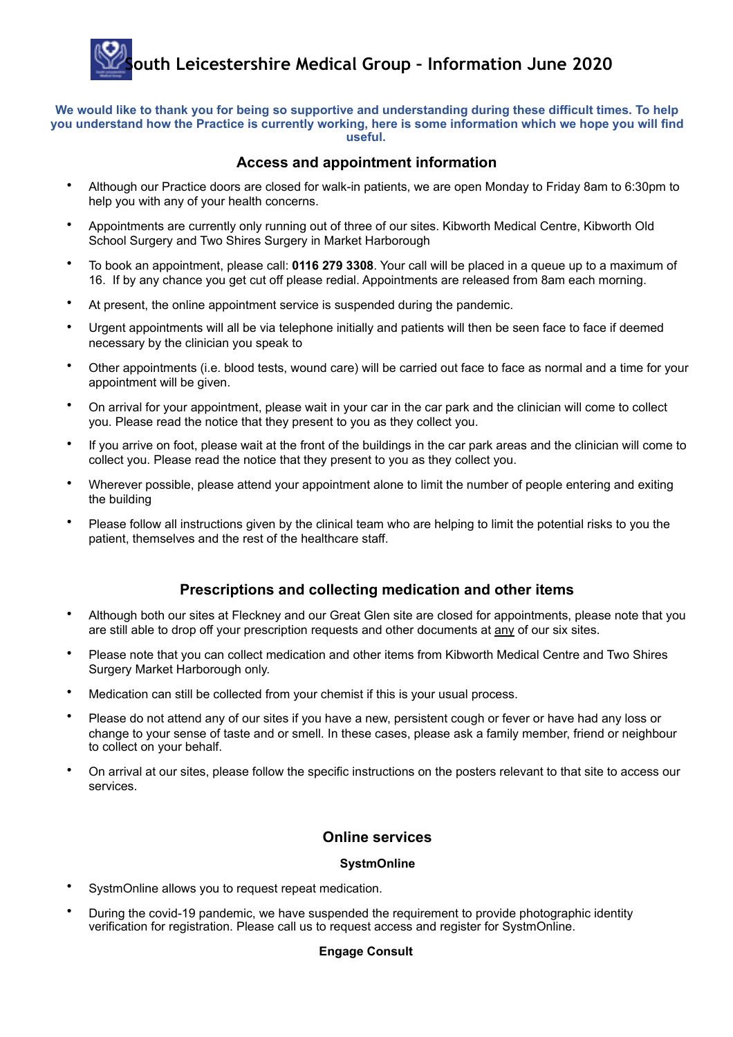# **South Leicestershire Medical Group – Information June 2020**

**We would like to thank you for being so supportive and understanding during these difficult times. To help you understand how the Practice is currently working, here is some information which we hope you will find useful.** 

### **Access and appointment information**

- Although our Practice doors are closed for walk-in patients, we are open Monday to Friday 8am to 6:30pm to help you with any of your health concerns.
- Appointments are currently only running out of three of our sites. Kibworth Medical Centre, Kibworth Old School Surgery and Two Shires Surgery in Market Harborough
- To book an appointment, please call: **0116 279 3308**. Your call will be placed in a queue up to a maximum of 16. If by any chance you get cut off please redial. Appointments are released from 8am each morning.
- At present, the online appointment service is suspended during the pandemic.
- Urgent appointments will all be via telephone initially and patients will then be seen face to face if deemed necessary by the clinician you speak to
- Other appointments (i.e. blood tests, wound care) will be carried out face to face as normal and a time for your appointment will be given.
- On arrival for your appointment, please wait in your car in the car park and the clinician will come to collect you. Please read the notice that they present to you as they collect you.
- If you arrive on foot, please wait at the front of the buildings in the car park areas and the clinician will come to collect you. Please read the notice that they present to you as they collect you.
- Wherever possible, please attend your appointment alone to limit the number of people entering and exiting the building
- Please follow all instructions given by the clinical team who are helping to limit the potential risks to you the patient, themselves and the rest of the healthcare staff.

## **Prescriptions and collecting medication and other items**

- Although both our sites at Fleckney and our Great Glen site are closed for appointments, please note that you are still able to drop off your prescription requests and other documents at any of our six sites.
- Please note that you can collect medication and other items from Kibworth Medical Centre and Two Shires Surgery Market Harborough only.
- Medication can still be collected from your chemist if this is your usual process.
- Please do not attend any of our sites if you have a new, persistent cough or fever or have had any loss or change to your sense of taste and or smell. In these cases, please ask a family member, friend or neighbour to collect on your behalf.
- On arrival at our sites, please follow the specific instructions on the posters relevant to that site to access our services.

## **Online services**

#### **SystmOnline**

- SystmOnline allows you to request repeat medication.
- During the covid-19 pandemic, we have suspended the requirement to provide photographic identity verification for registration. Please call us to request access and register for SystmOnline.

#### **Engage Consult**